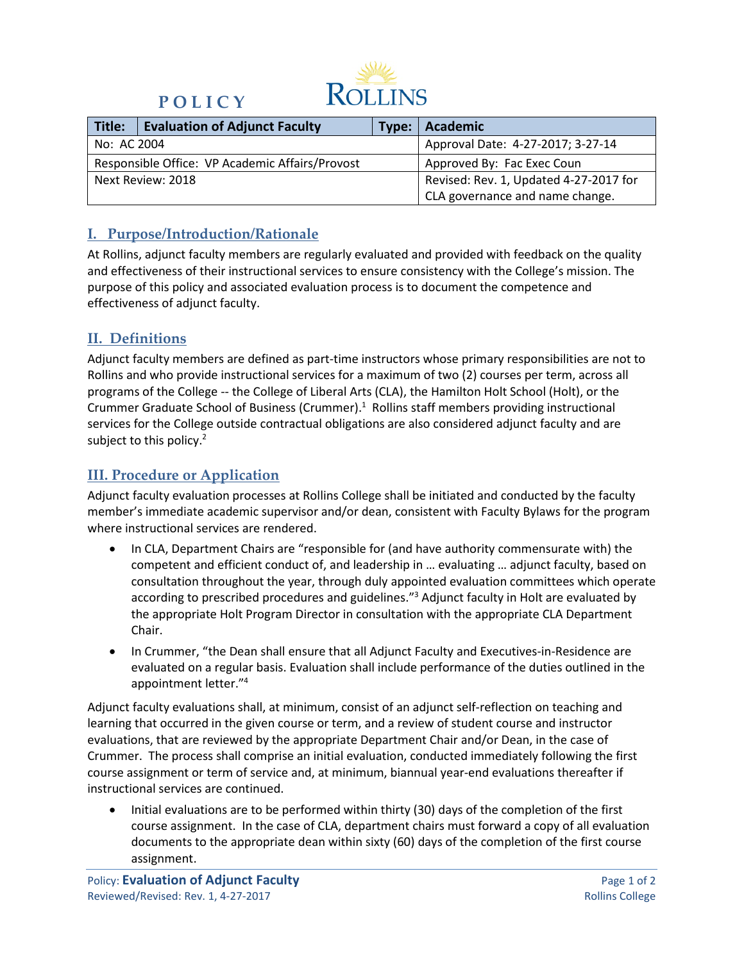

# **P O L I C Y**

| Title:                                          | <b>Evaluation of Adjunct Faculty</b> |                                   | Type:   Academic                       |
|-------------------------------------------------|--------------------------------------|-----------------------------------|----------------------------------------|
| No: AC 2004                                     |                                      | Approval Date: 4-27-2017; 3-27-14 |                                        |
| Responsible Office: VP Academic Affairs/Provost |                                      |                                   | Approved By: Fac Exec Coun             |
| Next Review: 2018                               |                                      |                                   | Revised: Rev. 1, Updated 4-27-2017 for |
|                                                 |                                      |                                   | CLA governance and name change.        |

### **I. Purpose/Introduction/Rationale**

At Rollins, adjunct faculty members are regularly evaluated and provided with feedback on the quality and effectiveness of their instructional services to ensure consistency with the College's mission. The purpose of this policy and associated evaluation process is to document the competence and effectiveness of adjunct faculty.

### **II. Definitions**

Adjunct faculty members are defined as part-time instructors whose primary responsibilities are not to Rollins and who provide instructional services for a maximum of two (2) courses per term, across all programs of the College -- the College of Liberal Arts (CLA), the Hamilton Holt School (Holt), or the Crummer Graduate School of Business (Crummer).<sup>1</sup> Rollins staff members providing instructional services for the College outside contractual obligations are also considered adjunct faculty and are subject to this policy.<sup>2</sup>

# **III. Procedure or Application**

Adjunct faculty evaluation processes at Rollins College shall be initiated and conducted by the faculty member's immediate academic supervisor and/or dean, consistent with Faculty Bylaws for the program where instructional services are rendered.

- In CLA, Department Chairs are "responsible for (and have authority commensurate with) the competent and efficient conduct of, and leadership in … evaluating … adjunct faculty, based on consultation throughout the year, through duly appointed evaluation committees which operate according to prescribed procedures and guidelines."<sup>3</sup> Adjunct faculty in Holt are evaluated by the appropriate Holt Program Director in consultation with the appropriate CLA Department Chair.
- In Crummer, "the Dean shall ensure that all Adjunct Faculty and Executives-in-Residence are evaluated on a regular basis. Evaluation shall include performance of the duties outlined in the appointment letter."4

Adjunct faculty evaluations shall, at minimum, consist of an adjunct self-reflection on teaching and learning that occurred in the given course or term, and a review of student course and instructor evaluations, that are reviewed by the appropriate Department Chair and/or Dean, in the case of Crummer. The process shall comprise an initial evaluation, conducted immediately following the first course assignment or term of service and, at minimum, biannual year-end evaluations thereafter if instructional services are continued.

• Initial evaluations are to be performed within thirty (30) days of the completion of the first course assignment. In the case of CLA, department chairs must forward a copy of all evaluation documents to the appropriate dean within sixty (60) days of the completion of the first course assignment.